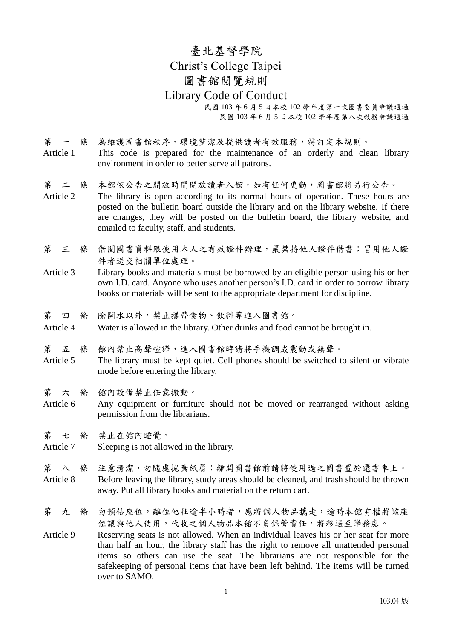臺北基督學院 Christ's College Taipei 圖書館閱覽規則 Library Code of Conduct 民國 103 年 6 月 5 日本校 102 學年度第一次圖書委員會議通過

民國 103 年 6 月 5 日本校 102 學年度第八次教務會議通過

第 一 條 為維護圖書館秩序、環境整潔及提供讀者有效服務,特訂定本規則。 Article 1 This code is prepared for the maintenance of an orderly and clean library environment in order to better serve all patrons.

第 二 條 本館依公告之開放時間開放讀者入館,如有任何更動,圖書館將另行公告。

Article 2 The library is open according to its normal hours of operation. These hours are posted on the bulletin board outside the library and on the library website. If there are changes, they will be posted on the bulletin board, the library website, and emailed to faculty, staff, and students.

第 三 條 借阅图书资料限使用本人之有效证件辨理,严禁持他人证件借书;冒用他人证 件者送交相關單位處理。

Article 3 Library books and materials must be borrowed by an eligible person using his or her own I.D. card. Anyone who uses another person's I.D. card in order to borrow library books or materials will be sent to the appropriate department for discipline.

第 四 條 除開水以外,禁止攜帶食物、飲料等進入圖書館。

Article 4 Water is allowed in the library. Other drinks and food cannot be brought in.

第 五 條 館內禁止高聲喧譁,進入圖書館時請將手機調成震動或無聲。

Article 5 The library must be kept quiet. Cell phones should be switched to silent or vibrate mode before entering the library.

第 六 條 館內設備禁止任意搬動。

Article 6 Any equipment or furniture should not be moved or rearranged without asking permission from the librarians.

第 七 條 禁止在館內睡覺。

Article 7 Sleeping is not allowed in the library.

第 八 條 注意清潔,勿隨處拋棄紙屑;離開圖書館前請將使用過之圖書置於還書車上。 Article 8 Before leaving the library, study areas should be cleaned, and trash should be thrown away. Put all library books and material on the return cart.

第 九 條 勿預佔座位,離位他往逾半小時者,應將個人物品攜走,逾時本館有權將該座 位讓與他人使用,代收之個人物品本館不負保管責任,將移送至學務處。

Article 9 Reserving seats is not allowed. When an individual leaves his or her seat for more than half an hour, the library staff has the right to remove all unattended personal items so others can use the seat. The librarians are not responsible for the safekeeping of personal items that have been left behind. The items will be turned over to SAMO.